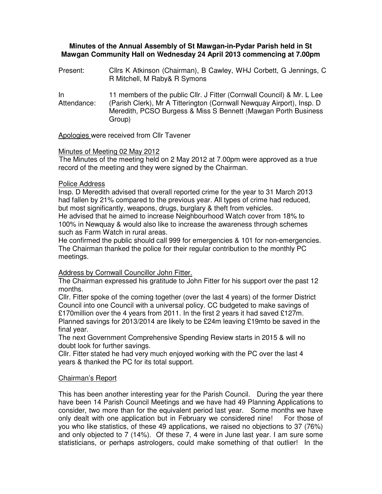# **Minutes of the Annual Assembly of St Mawgan-in-Pydar Parish held in St Mawgan Community Hall on Wednesday 24 April 2013 commencing at 7.00pm**

Present: Cllrs K Atkinson (Chairman), B Cawley, WHJ Corbett, G Jennings, C R Mitchell, M Raby& R Symons

In Attendance: 11 members of the public Cllr. J Fitter (Cornwall Council) & Mr. L Lee (Parish Clerk), Mr A Titterington (Cornwall Newquay Airport), Insp. D Meredith, PCSO Burgess & Miss S Bennett (Mawgan Porth Business Group)

Apologies were received from Cllr Tavener

## Minutes of Meeting 02 May 2012

The Minutes of the meeting held on 2 May 2012 at 7.00pm were approved as a true record of the meeting and they were signed by the Chairman.

## Police Address

Insp. D Meredith advised that overall reported crime for the year to 31 March 2013 had fallen by 21% compared to the previous year. All types of crime had reduced, but most significantly, weapons, drugs, burglary & theft from vehicles.

He advised that he aimed to increase Neighbourhood Watch cover from 18% to 100% in Newquay & would also like to increase the awareness through schemes such as Farm Watch in rural areas.

He confirmed the public should call 999 for emergencies & 101 for non-emergencies. The Chairman thanked the police for their regular contribution to the monthly PC meetings.

## Address by Cornwall Councillor John Fitter.

The Chairman expressed his gratitude to John Fitter for his support over the past 12 months.

Cllr. Fitter spoke of the coming together (over the last 4 years) of the former District Council into one Council with a universal policy. CC budgeted to make savings of £170million over the 4 years from 2011. In the first 2 years it had saved £127m. Planned savings for 2013/2014 are likely to be £24m leaving £19mto be saved in the final year.

The next Government Comprehensive Spending Review starts in 2015 & will no doubt look for further savings.

Cllr. Fitter stated he had very much enjoyed working with the PC over the last 4 years & thanked the PC for its total support.

## Chairman's Report

This has been another interesting year for the Parish Council. During the year there have been 14 Parish Council Meetings and we have had 49 Planning Applications to consider, two more than for the equivalent period last year. Some months we have only dealt with one application but in February we considered nine! For those of you who like statistics, of these 49 applications, we raised no objections to 37 (76%) and only objected to 7 (14%). Of these 7, 4 were in June last year. I am sure some statisticians, or perhaps astrologers, could make something of that outlier! In the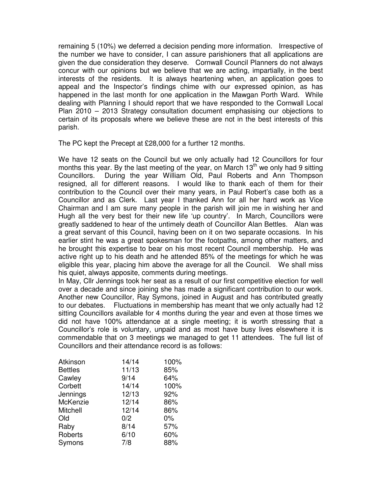remaining 5 (10%) we deferred a decision pending more information. Irrespective of the number we have to consider, I can assure parishioners that all applications are given the due consideration they deserve. Cornwall Council Planners do not always concur with our opinions but we believe that we are acting, impartially, in the best interests of the residents. It is always heartening when, an application goes to appeal and the Inspector's findings chime with our expressed opinion, as has happened in the last month for one application in the Mawgan Porth Ward. While dealing with Planning I should report that we have responded to the Cornwall Local Plan 2010 – 2013 Strategy consultation document emphasising our objections to certain of its proposals where we believe these are not in the best interests of this parish.

The PC kept the Precept at £28,000 for a further 12 months.

We have 12 seats on the Council but we only actually had 12 Councillors for four months this year. By the last meeting of the year, on March  $13<sup>th</sup>$  we only had 9 sitting Councillors. During the year William Old, Paul Roberts and Ann Thompson resigned, all for different reasons. I would like to thank each of them for their contribution to the Council over their many years, in Paul Robert's case both as a Councillor and as Clerk. Last year I thanked Ann for all her hard work as Vice Chairman and I am sure many people in the parish will join me in wishing her and Hugh all the very best for their new life 'up country'. In March, Councillors were greatly saddened to hear of the untimely death of Councillor Alan Bettles. Alan was a great servant of this Council, having been on it on two separate occasions. In his earlier stint he was a great spokesman for the footpaths, among other matters, and he brought this expertise to bear on his most recent Council membership. He was active right up to his death and he attended 85% of the meetings for which he was eligible this year, placing him above the average for all the Council. We shall miss his quiet, always apposite, comments during meetings.

In May, Cllr Jennings took her seat as a result of our first competitive election for well over a decade and since joining she has made a significant contribution to our work. Another new Councillor, Ray Symons, joined in August and has contributed greatly to our debates. Fluctuations in membership has meant that we only actually had 12 sitting Councillors available for 4 months during the year and even at those times we did not have 100% attendance at a single meeting; it is worth stressing that a Councillor's role is voluntary, unpaid and as most have busy lives elsewhere it is commendable that on 3 meetings we managed to get 11 attendees. The full list of Councillors and their attendance record is as follows:

| Atkinson       | 14/14 | 100%  |
|----------------|-------|-------|
| <b>Bettles</b> | 11/13 | 85%   |
| Cawley         | 9/14  | 64%   |
| Corbett        | 14/14 | 100%  |
| Jennings       | 12/13 | 92%   |
| McKenzie       | 12/14 | 86%   |
| Mitchell       | 12/14 | 86%   |
| Old            | 0/2   | $0\%$ |
| Raby           | 8/14  | 57%   |
| Roberts        | 6/10  | 60%   |
| Symons         | 7/8   | 88%   |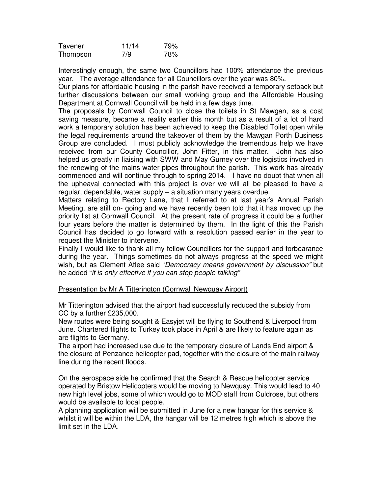| Tavener  | 11/14 | 79% |
|----------|-------|-----|
| Thompson | 7/9   | 78% |

Interestingly enough, the same two Councillors had 100% attendance the previous year. The average attendance for all Councillors over the year was 80%.

Our plans for affordable housing in the parish have received a temporary setback but further discussions between our small working group and the Affordable Housing Department at Cornwall Council will be held in a few days time.

The proposals by Cornwall Council to close the toilets in St Mawgan, as a cost saving measure, became a reality earlier this month but as a result of a lot of hard work a temporary solution has been achieved to keep the Disabled Toilet open while the legal requirements around the takeover of them by the Mawgan Porth Business Group are concluded. I must publicly acknowledge the tremendous help we have received from our County Councillor, John Fitter, in this matter. John has also helped us greatly in liaising with SWW and May Gurney over the logistics involved in the renewing of the mains water pipes throughout the parish. This work has already commenced and will continue through to spring 2014. I have no doubt that when all the upheaval connected with this project is over we will all be pleased to have a regular, dependable, water supply – a situation many years overdue.

Matters relating to Rectory Lane, that I referred to at last year's Annual Parish Meeting, are still on- going and we have recently been told that it has moved up the priority list at Cornwall Council. At the present rate of progress it could be a further four years before the matter is determined by them. In the light of this the Parish Council has decided to go forward with a resolution passed earlier in the year to request the Minister to intervene.

Finally I would like to thank all my fellow Councillors for the support and forbearance during the year. Things sometimes do not always progress at the speed we might wish, but as Clement Atlee said "Democracy means government by discussion" but he added "it is only effective if you can stop people talking"

Presentation by Mr A Titterington (Cornwall Newquay Airport)

Mr Titterington advised that the airport had successfully reduced the subsidy from CC by a further £235,000.

New routes were being sought & Easyjet will be flying to Southend & Liverpool from June. Chartered flights to Turkey took place in April & are likely to feature again as are flights to Germany.

The airport had increased use due to the temporary closure of Lands End airport & the closure of Penzance helicopter pad, together with the closure of the main railway line during the recent floods.

On the aerospace side he confirmed that the Search & Rescue helicopter service operated by Bristow Helicopters would be moving to Newquay. This would lead to 40 new high level jobs, some of which would go to MOD staff from Culdrose, but others would be available to local people.

A planning application will be submitted in June for a new hangar for this service & whilst it will be within the LDA, the hangar will be 12 metres high which is above the limit set in the LDA.